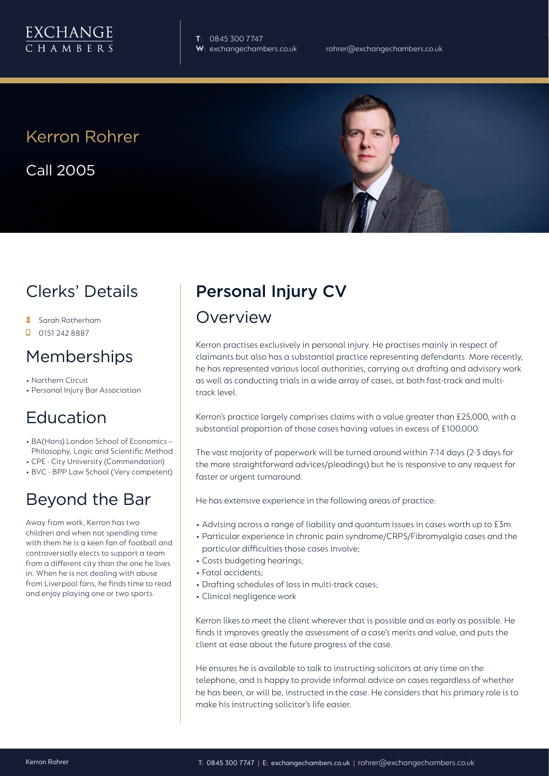

**T**: 0845 300 7747

## Kerron Rohrer

Call 2005



## Clerks' Details

- **Sarah Rotherham**
- $\Box$  0151 242 8887

#### Memberships

- Northern Circuit
- Personal Injury Bar Association

# Education

- BA(Hons) London School of Economics Philosophy, Logic and Scientific Method
- CPE City University (Commendation)
- BVC BPP Law School (Very competent)

## Beyond the Bar

Away from work, Kerron has two children and when not spending time with them he is a keen fan of football and controversially elects to support a team from a different city than the one he lives in. When he is not dealing with abuse from Liverpool fans, he finds time to read and enjoy playing one or two sports.

# Personal Injury CV

#### Overview

Kerron practises exclusively in personal injury. He practises mainly in respect of claimants but also has a substantial practice representing defendants. More recently, he has represented various local authorities, carrying out drafting and advisory work as well as conducting trials in a wide array of cases, at both fast-track and multitrack level.

Kerron's practice largely comprises claims with a value greater than £25,000, with a substantial proportion of those cases having values in excess of £100,000.

The vast majority of paperwork will be turned around within 7-14 days (2-3 days for the more straightforward advices/pleadings) but he is responsive to any request for faster or urgent turnaround.

He has extensive experience in the following areas of practice:

- Advising across a range of liability and quantum issues in cases worth up to £3m.
- Particular experience in chronic pain syndrome/CRPS/Fibromyalgia cases and the particular difficulties those cases involve;
- Costs budgeting hearings;
- Fatal accidents;
- Drafting schedules of loss in multi-track cases;
- Clinical negligence work

Kerron likes to meet the client wherever that is possible and as early as possible. He finds it improves greatly the assessment of a case's merits and value, and puts the client at ease about the future progress of the case.

He ensures he is available to talk to instructing solicitors at any time on the telephone, and is happy to provide informal advice on cases regardless of whether he has been, or will be, instructed in the case. He considers that his primary role is to make his instructing solicitor's life easier.